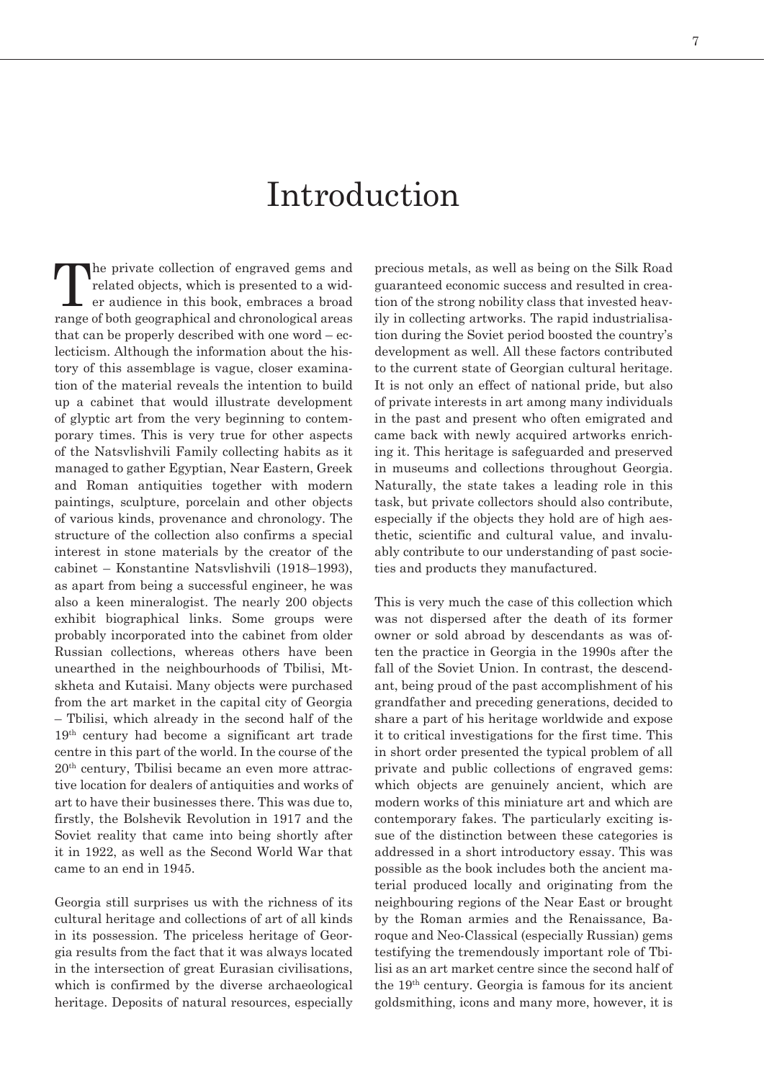## Introduction

The private collection of engraved gems and<br>related objects, which is presented to a wid-<br>er audience in this book, embraces a broad related objects, which is presented to a wider audience in this book, embraces a broad range of both geographical and chronological areas that can be properly described with one word – eclecticism. Although the information about the history of this assemblage is vague, closer examination of the material reveals the intention to build up a cabinet that would illustrate development of glyptic art from the very beginning to contemporary times. This is very true for other aspects of the Natsvlishvili Family collecting habits as it managed to gather Egyptian, Near Eastern, Greek and Roman antiquities together with modern paintings, sculpture, porcelain and other objects of various kinds, provenance and chronology. The structure of the collection also confirms a special interest in stone materials by the creator of the cabinet – Konstantine Natsvlishvili (1918–1993), as apart from being a successful engineer, he was also a keen mineralogist. The nearly 200 objects exhibit biographical links. Some groups were probably incorporated into the cabinet from older Russian collections, whereas others have been unearthed in the neighbourhoods of Tbilisi, Mtskheta and Kutaisi. Many objects were purchased from the art market in the capital city of Georgia – Tbilisi, which already in the second half of the 19th century had become a significant art trade centre in this part of the world. In the course of the 20th century, Tbilisi became an even more attractive location for dealers of antiquities and works of art to have their businesses there. This was due to, firstly, the Bolshevik Revolution in 1917 and the Soviet reality that came into being shortly after it in 1922, as well as the Second World War that came to an end in 1945.

Georgia still surprises us with the richness of its cultural heritage and collections of art of all kinds in its possession. The priceless heritage of Georgia results from the fact that it was always located in the intersection of great Eurasian civilisations, which is confirmed by the diverse archaeological heritage. Deposits of natural resources, especially

precious metals, as well as being on the Silk Road guaranteed economic success and resulted in creation of the strong nobility class that invested heavily in collecting artworks. The rapid industrialisation during the Soviet period boosted the country's development as well. All these factors contributed to the current state of Georgian cultural heritage. It is not only an effect of national pride, but also of private interests in art among many individuals in the past and present who often emigrated and came back with newly acquired artworks enriching it. This heritage is safeguarded and preserved in museums and collections throughout Georgia. Naturally, the state takes a leading role in this task, but private collectors should also contribute, especially if the objects they hold are of high aesthetic, scientific and cultural value, and invaluably contribute to our understanding of past societies and products they manufactured.

This is very much the case of this collection which was not dispersed after the death of its former owner or sold abroad by descendants as was often the practice in Georgia in the 1990s after the fall of the Soviet Union. In contrast, the descendant, being proud of the past accomplishment of his grandfather and preceding generations, decided to share a part of his heritage worldwide and expose it to critical investigations for the first time. This in short order presented the typical problem of all private and public collections of engraved gems: which objects are genuinely ancient, which are modern works of this miniature art and which are contemporary fakes. The particularly exciting issue of the distinction between these categories is addressed in a short introductory essay. This was possible as the book includes both the ancient material produced locally and originating from the neighbouring regions of the Near East or brought by the Roman armies and the Renaissance, Baroque and Neo-Classical (especially Russian) gems testifying the tremendously important role of Tbilisi as an art market centre since the second half of the 19th century. Georgia is famous for its ancient goldsmithing, icons and many more, however, it is